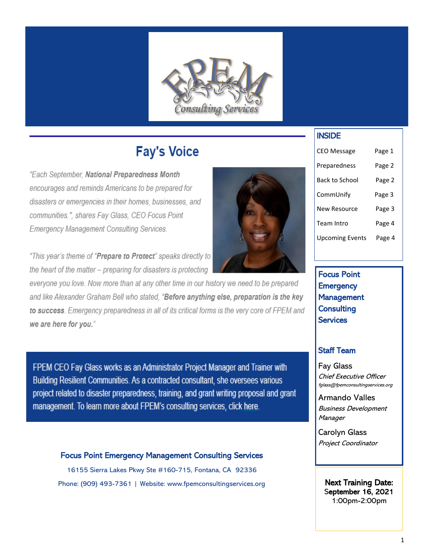

# **Fay's Voice**

"Each September, National Preparedness Month encourages and reminds Americans to be prepared for disasters or emergencies in their homes, businesses, and communities.", shares Fay Glass, CEO Focus Point **Emergency Management Consulting Services.** 

"This year's theme of "Prepare to Protect" speaks directly to the heart of the matter - preparing for disasters is protecting

everyone you love. Now more than at any other time in our history we need to be prepared and like Alexander Graham Bell who stated, "Before anything else, preparation is the key to success. Emergency preparedness in all of its critical forms is the very core of FPEM and we are here for you."

FPEM CEO Fay Glass works as an Administrator Project Manager and Trainer with Building Resilient Communities. As a contracted consultant, she oversees various project related to disaster preparedness, training, and grant writing proposal and grant management. To learn more about FPEM's consulting services, click here.

Focus Point Emergency Management Consulting Services 16155 Sierra Lakes Pkwy Ste #160-715, Fontana, CA 92336

Phone: (909) 493-7361 | Website: www.fpemconsultingservices.org



### INSIDE

| <b>CEO Message</b>     | Page 1 |
|------------------------|--------|
| Preparedness           | Page 2 |
| Back to School         | Page 2 |
| CommUnify              | Page 3 |
| <b>New Resource</b>    | Page 3 |
| Team Intro             | Page 4 |
| <b>Upcoming Events</b> | Page 4 |

Focus Point **Emergency** Management **Consulting Services** 

#### Staff Team

Fay Glass Chief Executive Officer fglass@fpemconsultingservices.org

Armando Valles Business Development **Manager** 

Carolyn Glass Project Coordinator

Next Training Date: September 16, 2021 1:00pm-2:00pm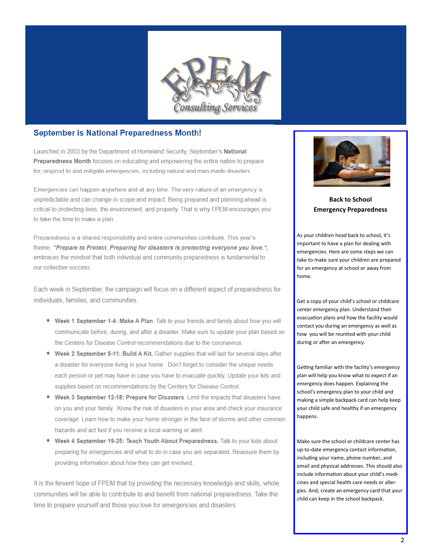

#### **September is National Preparedness Month!**

Launched in 2003 by the Department of Homeland Security. September's National Preparedness Month focuses on educating and empowering the entire nation to prepare for, respond to and mitigate emergencies, including natural and man-made disasters.

Emergencies can happen anywhere and at any time. The very nature of an emergency is unpredictable and can change in scope and impact. Being prepared and planning ahead is critical to protecting lives, the environment, and property. That is why FPEM encourages you to take the time to make a plan.

Preparedness is a shared responsibility and entire communities contribute. This year's theme, "Prepare to Protect. Preparing for disasters is protecting everyone you love.", embraces the mindset that both individual and community preparedness is fundamental to our collective success.

Each week in September, the campaign will focus on a different aspect of preparedness for individuals, families, and communities.

- . Week 1 September 1-4: Make A Plan. Talk to your friends and family about how you will communicate before, during, and after a disaster. Make sure to update your plan based on the Centers for Disease Control recommendations due to the coronavirus.
- . Week 2 September 5-11: Build A Kit. Gather supplies that will last for several days after a disaster for everyone living in your home. Don't forget to consider the unique needs each person or pet may have in case you have to evacuate quickly. Update your kits and supplies based on recommendations by the Centers for Disease Control.
- Week 3 September 12-18: Prepare for Disasters. Limit the impacts that disasters have on you and your family. Know the risk of disasters in your area and check your insurance coverage. Learn how to make your home stronger in the face of storms and other common hazards and act fast if you receive a local warning or alert.
- . Week 4 September 19-25: Teach Youth About Preparedness. Talk to your kids about preparing for emergencies and what to do in case you are separated. Reassure them by providing information about how they can get involved.

It is the fervent hope of FPEM that by providing the necessary knowledge and skills, whole communities will be able to contribute to and benefit from national preparedness. Take the time to prepare yourself and those you love for emergencies and disasters.



**Back to School Emergency Preparedness** 

As your children head back to school, it's important to have a plan for dealing with emergencies. Here are some steps we can take to make sure your children are prepared for an emergency at school or away from home.

Get a copy of your child's school or childcare center emergency plan. Understand their evacuation plans and how the facility would contact you during an emergency as well as how you will be reunited with your child during or after an emergency.

Getting familiar with the facility's emergency plan will help you know what to expect if an emergency does happen. Explaining the school's emergency plan to your child and making a simple backpack card can help keep your child safe and healthy if an emergency happens.

Make sure the school or childcare center has up-to-date emergency contact information, including your name, phone number, and email and physical addresses. This should also include information about your child's medicines and special health care needs or allergies. And, create an emergency card that your child can keep in the school backpack.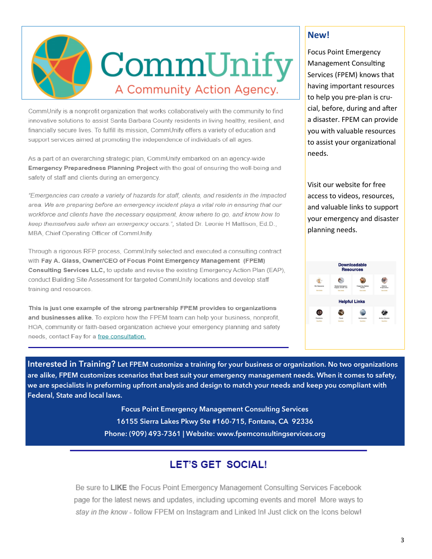

CommUnify is a nonprofit organization that works collaboratively with the community to find innovative solutions to assist Santa Barbara County residents in living healthy, resilient, and financially secure lives. To fulfill its mission, CommUnify offers a variety of education and support services aimed at promoting the independence of individuals of all ages.

As a part of an overarching strategic plan, CommUnify embarked on an agency-wide Emergency Preparedness Planning Project with the goal of ensuring the well-being and safety of staff and clients during an emergency.

"Emergencies can create a variety of hazards for staff, clients, and residents in the impacted area. We are preparing before an emergency incident plays a vital role in ensuring that our workforce and clients have the necessary equipment, know where to go, and know how to keep themselves safe when an emergency occurs.", stated Dr. Leonie H Mattison, Ed.D., MBA, Chief Operating Officer of CommUnify.

Through a rigorous RFP process, CommUnify selected and executed a consulting contract with Fay A. Glass, Owner/CEO of Focus Point Emergency Management (FPEM) Consulting Services LLC, to update and revise the existing Emergency Action Plan (EAP), conduct Building Site Assessment for targeted CommUnify locations and develop staff training and resources.

This is just one example of the strong partnership FPEM provides to organizations and businesses alike. To explore how the FPEM team can help your business, nonprofit, HOA, community or faith-based organization achieve your emergency planning and safety needs, contact Fay for a free consultation.

#### **New!**

Focus Point Emergency Management Consulting Services (FPEM) knows that having important resources to help you pre-plan is crucial, before, during and after a disaster. FPEM can provide you with valuable resources to assist your organizational needs.

Visit our website for free access to videos, resources, and valuable links to support your emergency and disaster planning needs.



**Interested in Training? Let FPEM customize a training for your business or organization. No two organizations are alike, FPEM customizes scenarios that best suit your emergency management needs. When it comes to safety, we are specialists in preforming upfront analysis and design to match your needs and keep you compliant with Federal, State and local laws.**

> **Focus Point Emergency Management Consulting Services 16155 Sierra Lakes Pkwy Ste #160-715, Fontana, CA 92336 Phone: (909) 493-7361 | Website: www.fpemconsultingservices.org**

# **LET'S GET SOCIAL!**

Be sure to LIKE the Focus Point Emergency Management Consulting Services Facebook page for the latest news and updates, including upcoming events and more! More ways to stay in the know - follow FPEM on Instagram and Linked In! Just click on the Icons below!